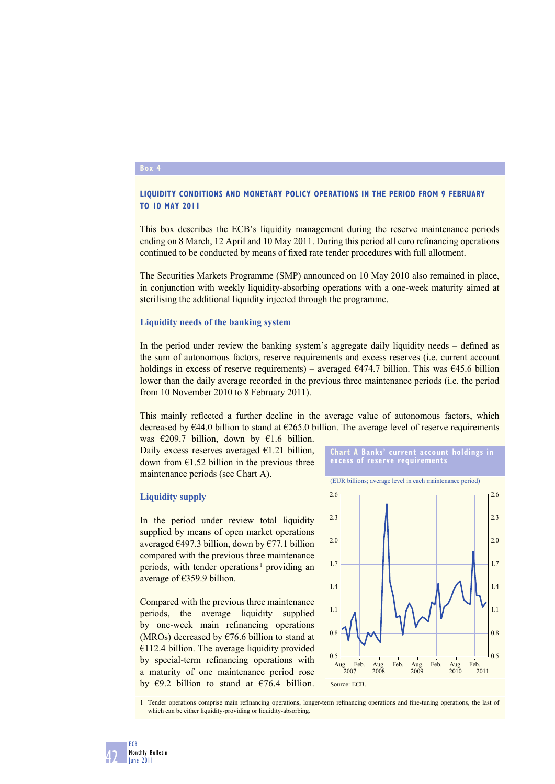#### **Box 4**

# **LIQUIDITY CONDITIONS AND MONETARY POLICY OPERATIONS IN THE PERIOD FROM 9 FEBRUARY TO 10 MAY 2011**

This box describes the ECB's liquidity management during the reserve maintenance periods ending on 8 March, 12 April and 10 May 2011. During this period all euro refinancing operations continued to be conducted by means of fixed rate tender procedures with full allotment.

The Securities Markets Programme (SMP) announced on 10 May 2010 also remained in place, in conjunction with weekly liquidity-absorbing operations with a one-week maturity aimed at sterilising the additional liquidity injected through the programme.

#### **Liquidity needs of the banking system**

In the period under review the banking system's aggregate daily liquidity needs – defined as the sum of autonomous factors, reserve requirements and excess reserves (i.e. current account holdings in excess of reserve requirements) – averaged  $\epsilon$ 474.7 billion. This was  $\epsilon$ 45.6 billion lower than the daily average recorded in the previous three maintenance periods (i.e. the period from 10 November 2010 to 8 February 2011).

This mainly reflected a further decline in the average value of autonomous factors, which decreased by  $\epsilon$ 44.0 billion to stand at  $\epsilon$ 265.0 billion. The average level of reserve requirements

was  $\epsilon$ 209.7 billion, down by  $\epsilon$ 1.6 billion. Daily excess reserves averaged  $E1.21$  billion, down from  $E1.52$  billion in the previous three maintenance periods (see Chart A).

#### **Liquidity supply**

In the period under review total liquidity supplied by means of open market operations averaged  $\epsilon$ 497.3 billion, down by  $\epsilon$ 77.1 billion compared with the previous three maintenance periods, with tender operations<sup>1</sup> providing an average of €359.9 billion.

Compared with the previous three maintenance periods, the average liquidity supplied by one-week main refinancing operations (MROs) decreased by  $\epsilon$ 76.6 billion to stand at  $€112.4$  billion. The average liquidity provided by special-term refinancing operations with a maturity of one maintenance period rose by  $\epsilon$ 9.2 billion to stand at  $\epsilon$ 76.4 billion.







1 Tender operations comprise main refinancing operations, longer-term refinancing operations and fine-tuning operations, the last of which can be either liquidity-providing or liquidity-absorbing.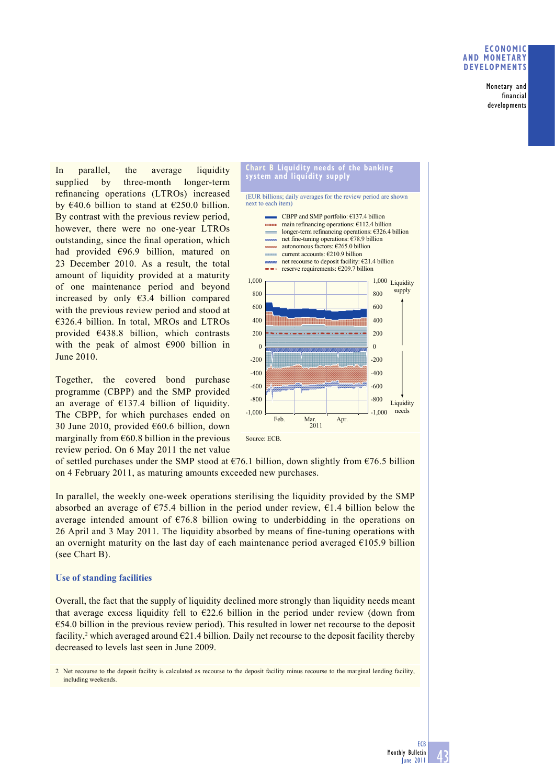### **ECONOMIC AND MONETARY DEVELOPMENTS**

Monetary and financial developments

In parallel, the average liquidity supplied by three-month longer-term refinancing operations (LTROs) increased by  $\epsilon$ 40.6 billion to stand at  $\epsilon$ 250.0 billion. By contrast with the previous review period, however, there were no one-year LTROs outstanding, since the final operation, which had provided €96.9 billion, matured on 23 December 2010. As a result, the total amount of liquidity provided at a maturity of one maintenance period and beyond increased by only €3.4 billion compared with the previous review period and stood at €326.4 billion. In total, MROs and LTROs provided €438.8 billion, which contrasts with the peak of almost €900 billion in June 2010.

Together, the covered bond purchase programme (CBPP) and the SMP provided an average of  $E137.4$  billion of liquidity. The CBPP, for which purchases ended on 30 June 2010, provided €60.6 billion, down marginally from  $660.8$  billion in the previous review period. On 6 May 2011 the net value



(EUR billions; daily averages for the review period are shown next to each item)



of settled purchases under the SMP stood at  $\epsilon$ 76.1 billion, down slightly from  $\epsilon$ 76.5 billion on 4 February 2011, as maturing amounts exceeded new purchases.

In parallel, the weekly one-week operations sterilising the liquidity provided by the SMP absorbed an average of  $\epsilon$ 75.4 billion in the period under review,  $\epsilon$ 1.4 billion below the average intended amount of  $\epsilon$ 76.8 billion owing to underbidding in the operations on 26 April and 3 May 2011. The liquidity absorbed by means of fine-tuning operations with an overnight maturity on the last day of each maintenance period averaged  $E105.9$  billion (see Chart B).

### **Use of standing facilities**

Overall, the fact that the supply of liquidity declined more strongly than liquidity needs meant that average excess liquidity fell to  $E22.6$  billion in the period under review (down from  $\epsilon$ 54.0 billion in the previous review period). This resulted in lower net recourse to the deposit facility,<sup>2</sup> which averaged around  $E$ 21.4 billion. Daily net recourse to the deposit facility thereby decreased to levels last seen in June 2009.

2 Net recourse to the deposit facility is calculated as recourse to the deposit facility minus recourse to the marginal lending facility, including weekends.